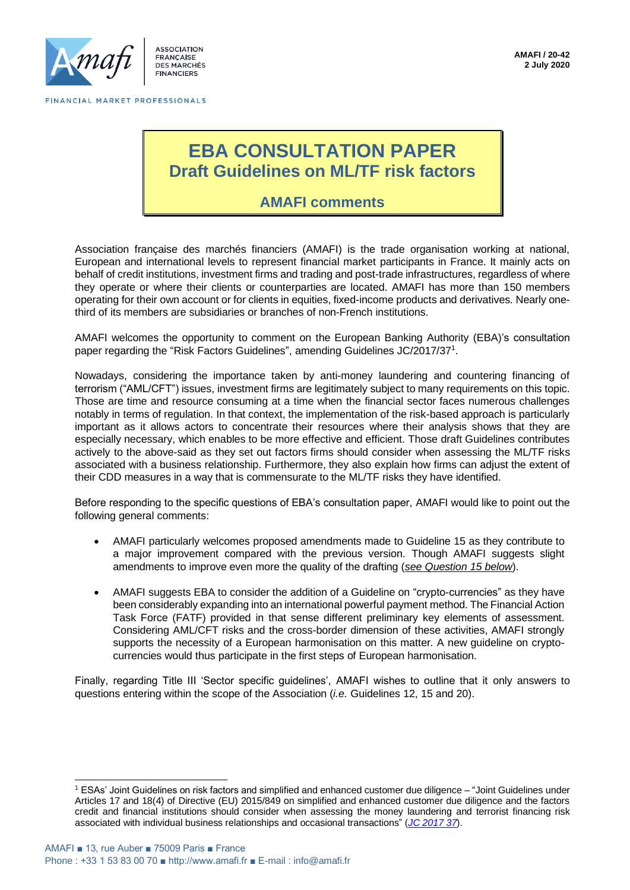

**ASSOCIATION ERANCAISE** DES MARCHÉS **FINANCIFRS** 

# **EBA CONSULTATION PAPER Draft Guidelines on ML/TF risk factors**

# **AMAFI comments**

Association française des marchés financiers (AMAFI) is the trade organisation working at national, European and international levels to represent financial market participants in France. It mainly acts on behalf of credit institutions, investment firms and trading and post-trade infrastructures, regardless of where they operate or where their clients or counterparties are located. AMAFI has more than 150 members operating for their own account or for clients in equities, fixed-income products and derivatives. Nearly onethird of its members are subsidiaries or branches of non-French institutions.

AMAFI welcomes the opportunity to comment on the European Banking Authority (EBA)'s consultation paper regarding the "Risk Factors Guidelines", amending Guidelines JC/2017/37<sup>1</sup>.

Nowadays, considering the importance taken by anti-money laundering and countering financing of terrorism ("AML/CFT") issues, investment firms are legitimately subject to many requirements on this topic. Those are time and resource consuming at a time when the financial sector faces numerous challenges notably in terms of regulation. In that context, the implementation of the risk-based approach is particularly important as it allows actors to concentrate their resources where their analysis shows that they are especially necessary, which enables to be more effective and efficient. Those draft Guidelines contributes actively to the above-said as they set out factors firms should consider when assessing the ML/TF risks associated with a business relationship. Furthermore, they also explain how firms can adjust the extent of their CDD measures in a way that is commensurate to the ML/TF risks they have identified.

Before responding to the specific questions of EBA's consultation paper, AMAFI would like to point out the following general comments:

- AMAFI particularly welcomes proposed amendments made to Guideline 15 as they contribute to a major improvement compared with the previous version. Though AMAFI suggests slight amendments to improve even more the quality of the drafting (*see Question 15 below*).
- AMAFI suggests EBA to consider the addition of a Guideline on "crypto-currencies" as they have been considerably expanding into an international powerful payment method. The Financial Action Task Force (FATF) provided in that sense different preliminary key elements of assessment. Considering AML/CFT risks and the cross-border dimension of these activities, AMAFI strongly supports the necessity of a European harmonisation on this matter. A new guideline on cryptocurrencies would thus participate in the first steps of European harmonisation.

Finally, regarding Title III 'Sector specific guidelines', AMAFI wishes to outline that it only answers to questions entering within the scope of the Association (*i.e.* Guidelines 12, 15 and 20).

<sup>1</sup> ESAs' Joint Guidelines on risk factors and simplified and enhanced customer due diligence – "Joint Guidelines under Articles 17 and 18(4) of Directive (EU) 2015/849 on simplified and enhanced customer due diligence and the factors credit and financial institutions should consider when assessing the money laundering and terrorist financing risk associated with individual business relationships and occasional transactions" (*[JC 2017 37](https://esas-joint-committee.europa.eu/Publications/Guidelines/Guidelines%20on%20Risk%20Factors_EN_04-01-2018.pdf)*).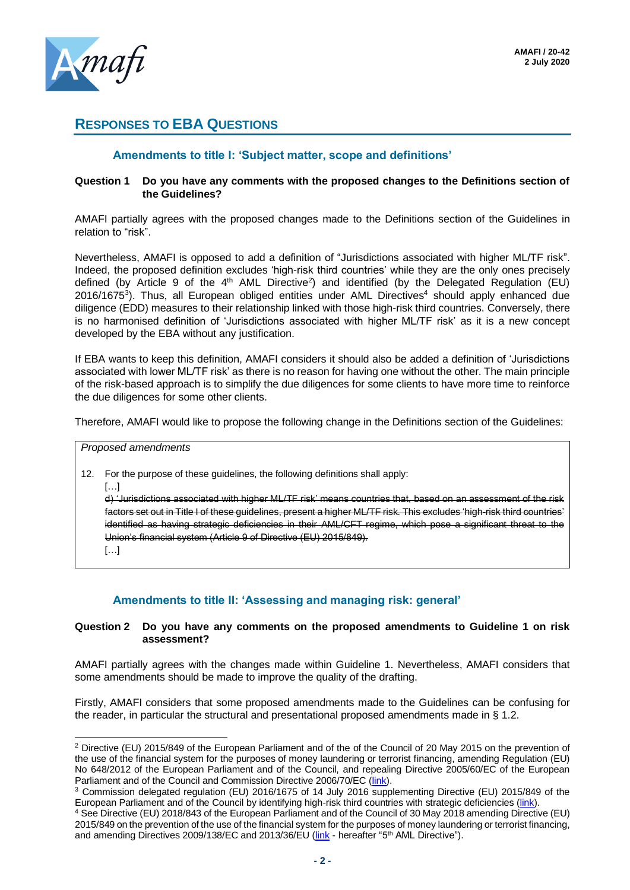

# **RESPONSES TO EBA QUESTIONS**

# **Amendments to title I: 'Subject matter, scope and definitions'**

#### **Question 1 Do you have any comments with the proposed changes to the Definitions section of the Guidelines?**

AMAFI partially agrees with the proposed changes made to the Definitions section of the Guidelines in relation to "risk".

Nevertheless, AMAFI is opposed to add a definition of "Jurisdictions associated with higher ML/TF risk". Indeed, the proposed definition excludes 'high-risk third countries' while they are the only ones precisely defined (by Article 9 of the  $4<sup>th</sup>$  AML Directive<sup>2</sup>) and identified (by the Delegated Regulation (EU) 2016/1675<sup>3</sup>). Thus, all European obliged entities under AML Directives<sup>4</sup> should apply enhanced due diligence (EDD) measures to their relationship linked with those high-risk third countries. Conversely, there is no harmonised definition of 'Jurisdictions associated with higher ML/TF risk' as it is a new concept developed by the EBA without any justification.

If EBA wants to keep this definition, AMAFI considers it should also be added a definition of 'Jurisdictions associated with lower ML/TF risk' as there is no reason for having one without the other. The main principle of the risk-based approach is to simplify the due diligences for some clients to have more time to reinforce the due diligences for some other clients.

Therefore, AMAFI would like to propose the following change in the Definitions section of the Guidelines:

#### *Proposed amendments*

- 12. For the purpose of these guidelines, the following definitions shall apply:
	- $\left[\ldots\right]$

d) 'Jurisdictions associated with higher ML/TF risk' means countries that, based on an assessment of the risk factors set out in Title I of these guidelines, present a higher ML/TF risk. This excludes 'high-risk third countries' identified as having strategic deficiencies in their AML/CFT regime, which pose a significant threat to the Union's financial system (Article 9 of Directive (EU) 2015/849).

 $[\ldots]$ 

# **Amendments to title II: 'Assessing and managing risk: general'**

## **Question 2 Do you have any comments on the proposed amendments to Guideline 1 on risk assessment?**

AMAFI partially agrees with the changes made within Guideline 1. Nevertheless, AMAFI considers that some amendments should be made to improve the quality of the drafting.

Firstly, AMAFI considers that some proposed amendments made to the Guidelines can be confusing for the reader, in particular the structural and presentational proposed amendments made in § 1.2.

<sup>&</sup>lt;sup>2</sup> Directive (EU) 2015/849 of the European Parliament and of the of the Council of 20 May 2015 on the prevention of the use of the financial system for the purposes of money laundering or terrorist financing, amending Regulation (EU) No 648/2012 of the European Parliament and of the Council, and repealing Directive 2005/60/EC of the European Parliament and of the Council and Commission Directive 2006/70/EC [\(link\)](https://eur-lex.europa.eu/legal-content/EN/TXT/?uri=celex%3A32015L0849).

<sup>3</sup> Commission delegated regulation (EU) 2016/1675 of 14 July 2016 supplementing Directive (EU) 2015/849 of the European Parliament and of the Council by identifying high-risk third countries with strategic deficiencies [\(link\)](https://eur-lex.europa.eu/legal-content/EN/TXT/?uri=uriserv%3AOJ.L_.2016.254.01.0001.01.ENG).

<sup>4</sup> See Directive (EU) 2018/843 of the European Parliament and of the Council of 30 May 2018 amending Directive (EU) 2015/849 on the prevention of the use of the financial system for the purposes of money laundering or terrorist financing, and amending Directives 2009/138/EC and 2013/36/EU [\(link](https://eur-lex.europa.eu/legal-content/EN/TXT/?uri=CELEX:32018L0843) - hereafter "5<sup>th</sup> AML Directive").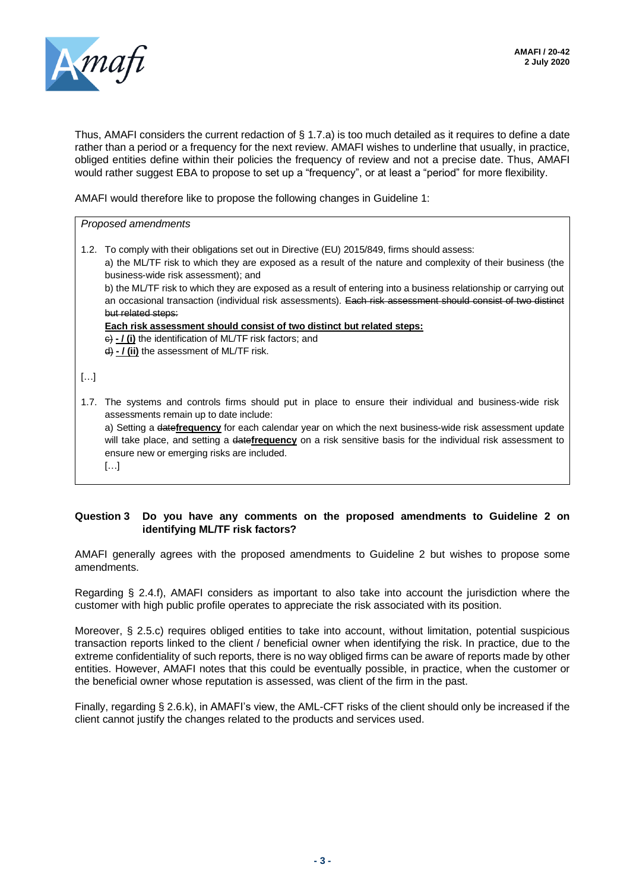

Thus, AMAFI considers the current redaction of § 1.7.a) is too much detailed as it requires to define a date rather than a period or a frequency for the next review. AMAFI wishes to underline that usually, in practice, obliged entities define within their policies the frequency of review and not a precise date. Thus, AMAFI would rather suggest EBA to propose to set up a "frequency", or at least a "period" for more flexibility.

AMAFI would therefore like to propose the following changes in Guideline 1:

*Proposed amendments*

1.2. To comply with their obligations set out in Directive (EU) 2015/849, firms should assess: a) the ML/TF risk to which they are exposed as a result of the nature and complexity of their business (the business-wide risk assessment); and

b) the ML/TF risk to which they are exposed as a result of entering into a business relationship or carrying out an occasional transaction (individual risk assessments). Each risk assessment should consist of two distinct but related steps:

**Each risk assessment should consist of two distinct but related steps:**

c) **- / (i)** the identification of ML/TF risk factors; and

d) **- / (ii)** the assessment of ML/TF risk.

[…]

1.7. The systems and controls firms should put in place to ensure their individual and business-wide risk assessments remain up to date include:

a) Setting a date**frequency** for each calendar year on which the next business-wide risk assessment update will take place, and setting a date**frequency** on a risk sensitive basis for the individual risk assessment to ensure new or emerging risks are included.

[…]

## **Question 3 Do you have any comments on the proposed amendments to Guideline 2 on identifying ML/TF risk factors?**

AMAFI generally agrees with the proposed amendments to Guideline 2 but wishes to propose some amendments.

Regarding § 2.4.f), AMAFI considers as important to also take into account the jurisdiction where the customer with high public profile operates to appreciate the risk associated with its position.

Moreover, § 2.5.c) requires obliged entities to take into account, without limitation, potential suspicious transaction reports linked to the client / beneficial owner when identifying the risk. In practice, due to the extreme confidentiality of such reports, there is no way obliged firms can be aware of reports made by other entities. However, AMAFI notes that this could be eventually possible, in practice, when the customer or the beneficial owner whose reputation is assessed, was client of the firm in the past.

Finally, regarding § 2.6.k), in AMAFI's view, the AML-CFT risks of the client should only be increased if the client cannot justify the changes related to the products and services used.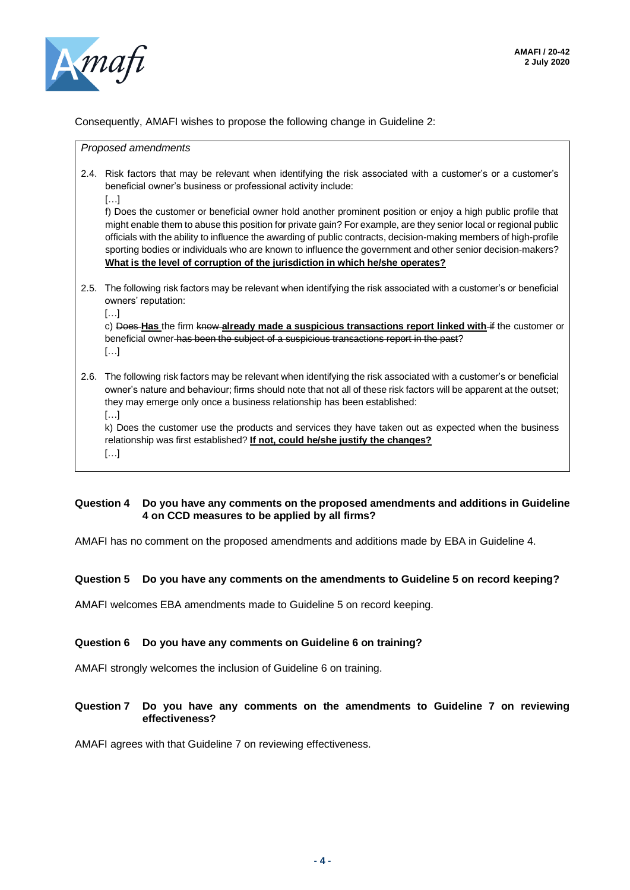

Consequently, AMAFI wishes to propose the following change in Guideline 2:

*Proposed amendments*

- 2.4. Risk factors that may be relevant when identifying the risk associated with a customer's or a customer's beneficial owner's business or professional activity include:
	- […]

f) Does the customer or beneficial owner hold another prominent position or enjoy a high public profile that might enable them to abuse this position for private gain? For example, are they senior local or regional public officials with the ability to influence the awarding of public contracts, decision-making members of high-profile sporting bodies or individuals who are known to influence the government and other senior decision-makers? **What is the level of corruption of the jurisdiction in which he/she operates?**

- 2.5. The following risk factors may be relevant when identifying the risk associated with a customer's or beneficial owners' reputation:
	- […]

c) Does **Has** the firm know **already made a suspicious transactions report linked with** if the customer or beneficial owner has been the subject of a suspicious transactions report in the past? […]

2.6. The following risk factors may be relevant when identifying the risk associated with a customer's or beneficial owner's nature and behaviour; firms should note that not all of these risk factors will be apparent at the outset; they may emerge only once a business relationship has been established:

[…]

k) Does the customer use the products and services they have taken out as expected when the business relationship was first established? **If not, could he/she justify the changes?**

[…]

# **Question 4 Do you have any comments on the proposed amendments and additions in Guideline 4 on CCD measures to be applied by all firms?**

AMAFI has no comment on the proposed amendments and additions made by EBA in Guideline 4.

# **Question 5 Do you have any comments on the amendments to Guideline 5 on record keeping?**

AMAFI welcomes EBA amendments made to Guideline 5 on record keeping.

# **Question 6 Do you have any comments on Guideline 6 on training?**

AMAFI strongly welcomes the inclusion of Guideline 6 on training.

## **Question 7 Do you have any comments on the amendments to Guideline 7 on reviewing effectiveness?**

AMAFI agrees with that Guideline 7 on reviewing effectiveness.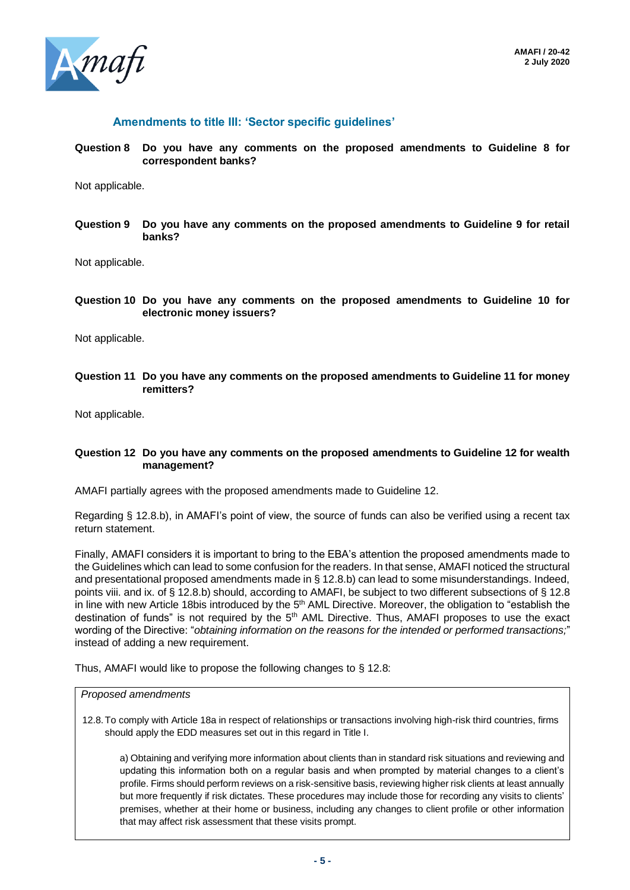

# **Amendments to title III: 'Sector specific guidelines'**

**Question 8 Do you have any comments on the proposed amendments to Guideline 8 for correspondent banks?**

Not applicable.

**Question 9 Do you have any comments on the proposed amendments to Guideline 9 for retail banks?**

Not applicable.

**Question 10 Do you have any comments on the proposed amendments to Guideline 10 for electronic money issuers?**

Not applicable.

**Question 11 Do you have any comments on the proposed amendments to Guideline 11 for money remitters?**

Not applicable.

#### **Question 12 Do you have any comments on the proposed amendments to Guideline 12 for wealth management?**

AMAFI partially agrees with the proposed amendments made to Guideline 12.

Regarding § 12.8.b), in AMAFI's point of view, the source of funds can also be verified using a recent tax return statement.

Finally, AMAFI considers it is important to bring to the EBA's attention the proposed amendments made to the Guidelines which can lead to some confusion for the readers. In that sense, AMAFI noticed the structural and presentational proposed amendments made in § 12.8.b) can lead to some misunderstandings. Indeed, points viii. and ix. of § 12.8.b) should, according to AMAFI, be subject to two different subsections of § 12.8 in line with new Article 18bis introduced by the 5<sup>th</sup> AML Directive. Moreover, the obligation to "establish the destination of funds" is not required by the 5<sup>th</sup> AML Directive. Thus, AMAFI proposes to use the exact wording of the Directive: "*obtaining information on the reasons for the intended or performed transactions;*" instead of adding a new requirement.

Thus, AMAFI would like to propose the following changes to § 12.8:

#### *Proposed amendments*

12.8.To comply with Article 18a in respect of relationships or transactions involving high-risk third countries, firms should apply the EDD measures set out in this regard in Title I.

a) Obtaining and verifying more information about clients than in standard risk situations and reviewing and updating this information both on a regular basis and when prompted by material changes to a client's profile. Firms should perform reviews on a risk-sensitive basis, reviewing higher risk clients at least annually but more frequently if risk dictates. These procedures may include those for recording any visits to clients' premises, whether at their home or business, including any changes to client profile or other information that may affect risk assessment that these visits prompt.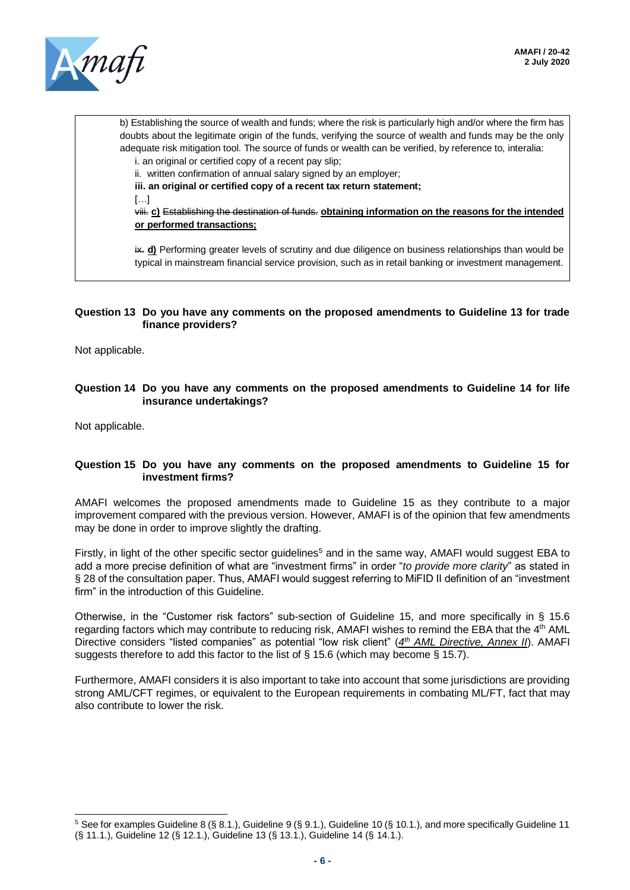

b) Establishing the source of wealth and funds; where the risk is particularly high and/or where the firm has doubts about the legitimate origin of the funds, verifying the source of wealth and funds may be the only adequate risk mitigation tool. The source of funds or wealth can be verified, by reference to, interalia:

i. an original or certified copy of a recent pay slip;

ii. written confirmation of annual salary signed by an employer;

**iii. an original or certified copy of a recent tax return statement;**

[…]

viii. **c)** Establishing the destination of funds. **obtaining information on the reasons for the intended or performed transactions;**

ix. **d)** Performing greater levels of scrutiny and due diligence on business relationships than would be typical in mainstream financial service provision, such as in retail banking or investment management.

#### **Question 13 Do you have any comments on the proposed amendments to Guideline 13 for trade finance providers?**

Not applicable.

#### **Question 14 Do you have any comments on the proposed amendments to Guideline 14 for life insurance undertakings?**

Not applicable.

#### **Question 15 Do you have any comments on the proposed amendments to Guideline 15 for investment firms?**

AMAFI welcomes the proposed amendments made to Guideline 15 as they contribute to a major improvement compared with the previous version. However, AMAFI is of the opinion that few amendments may be done in order to improve slightly the drafting.

Firstly, in light of the other specific sector guidelines<sup>5</sup> and in the same way, AMAFI would suggest EBA to add a more precise definition of what are "investment firms" in order "*to provide more clarity*" as stated in § 28 of the consultation paper. Thus, AMAFI would suggest referring to MiFID II definition of an "investment firm" in the introduction of this Guideline.

Otherwise, in the "Customer risk factors" sub-section of Guideline 15, and more specifically in § 15.6 regarding factors which may contribute to reducing risk, AMAFI wishes to remind the EBA that the 4<sup>th</sup> AML Directive considers "listed companies" as potential "low risk client" (4<sup>th</sup> AML Directive, Annex II). AMAFI suggests therefore to add this factor to the list of  $\S$  15.6 (which may become  $\S$  15.7).

Furthermore, AMAFI considers it is also important to take into account that some jurisdictions are providing strong AML/CFT regimes, or equivalent to the European requirements in combating ML/FT, fact that may also contribute to lower the risk.

 $5$  See for examples Guideline 8 (§ 8.1.), Guideline 9 (§ 9.1.), Guideline 10 (§ 10.1.), and more specifically Guideline 11 (§ 11.1.), Guideline 12 (§ 12.1.), Guideline 13 (§ 13.1.), Guideline 14 (§ 14.1.).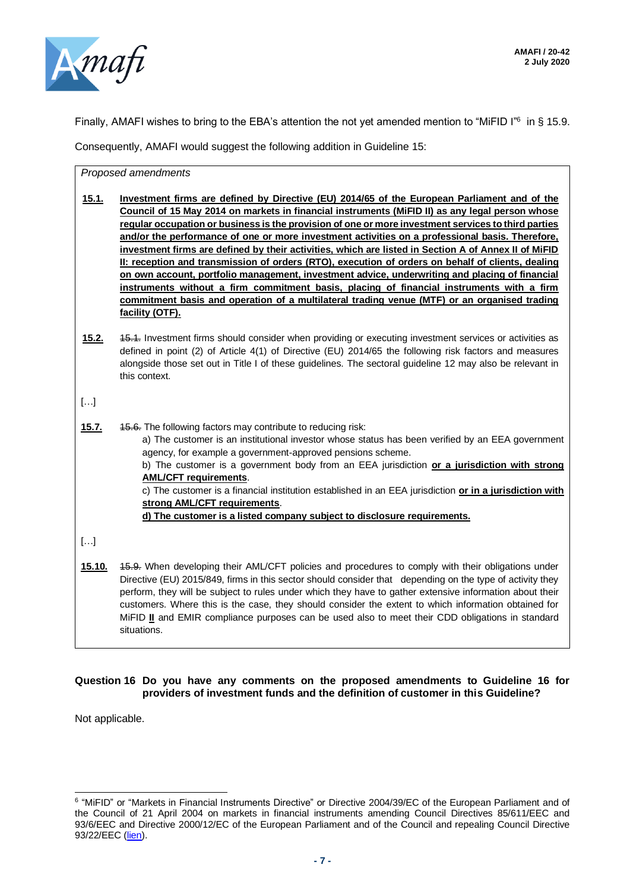

Finally, AMAFI wishes to bring to the EBA's attention the not yet amended mention to "MiFID I"<sup>6</sup> in § 15.9.

Consequently, AMAFI would suggest the following addition in Guideline 15:

*Proposed amendments*

- **15.1. Investment firms are defined by Directive (EU) 2014/65 of the European Parliament and of the Council of 15 May 2014 on markets in financial instruments (MiFID II) as any legal person whose regular occupation or business is the provision of one or more investment services to third parties and/or the performance of one or more investment activities on a professional basis. Therefore, investment firms are defined by their activities, which are listed in Section A of Annex II of MiFID II: reception and transmission of orders (RTO), execution of orders on behalf of clients, dealing on own account, portfolio management, investment advice, underwriting and placing of financial instruments without a firm commitment basis, placing of financial instruments with a firm commitment basis and operation of a multilateral trading venue (MTF) or an organised trading facility (OTF).**
- **15.2.** 15.1. Investment firms should consider when providing or executing investment services or activities as defined in point (2) of Article 4(1) of Directive (EU) 2014/65 the following risk factors and measures alongside those set out in Title I of these guidelines. The sectoral guideline 12 may also be relevant in this context.

 $[\ldots]$ 

- **15.7.** 15.6. The following factors may contribute to reducing risk: a) The customer is an institutional investor whose status has been verified by an EEA government agency, for example a government-approved pensions scheme. b) The customer is a government body from an EEA jurisdiction **or a jurisdiction with strong AML/CFT requirements**. c) The customer is a financial institution established in an EEA jurisdiction **or in a jurisdiction with strong AML/CFT requirements**. **d) The customer is a listed company subject to disclosure requirements.**
- $[\ldots]$
- **15.10.** 15.9. When developing their AML/CFT policies and procedures to comply with their obligations under Directive (EU) 2015/849, firms in this sector should consider that depending on the type of activity they perform, they will be subject to rules under which they have to gather extensive information about their customers. Where this is the case, they should consider the extent to which information obtained for MiFID **II** and EMIR compliance purposes can be used also to meet their CDD obligations in standard situations.

# **Question 16 Do you have any comments on the proposed amendments to Guideline 16 for providers of investment funds and the definition of customer in this Guideline?**

Not applicable.

<sup>6</sup> "MiFID" or "Markets in Financial Instruments Directive" or Directive 2004/39/EC of the European Parliament and of the Council of 21 April 2004 on markets in financial instruments amending Council Directives 85/611/EEC and 93/6/EEC and Directive 2000/12/EC of the European Parliament and of the Council and repealing Council Directive 93/22/EEC [\(lien\)](https://eur-lex.europa.eu/legal-content/EN/TXT/?uri=CELEX%3A32004L0039).